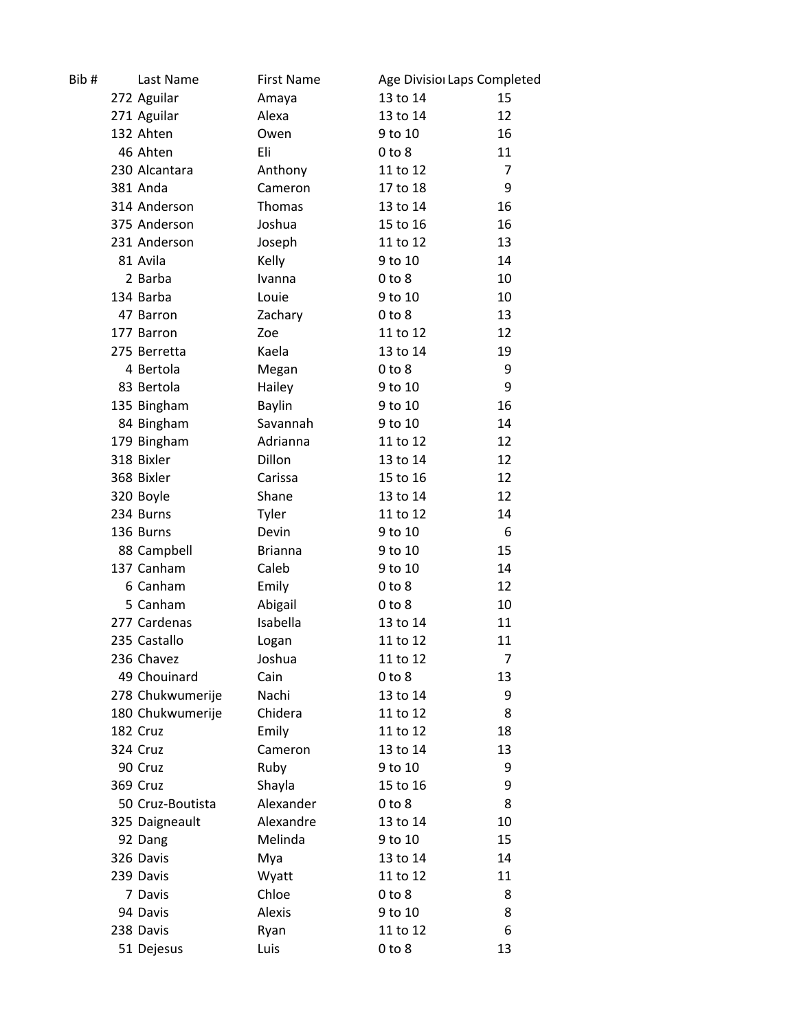| Bib# | Last Name        | <b>First Name</b> |            | Age Divisio Laps Completed |  |
|------|------------------|-------------------|------------|----------------------------|--|
|      | 272 Aguilar      | Amaya             | 13 to 14   | 15                         |  |
|      | 271 Aguilar      | Alexa             | 13 to 14   | 12                         |  |
|      | 132 Ahten        | Owen              | 9 to 10    | 16                         |  |
|      | 46 Ahten         | Eli               | $0$ to $8$ | 11                         |  |
|      | 230 Alcantara    | Anthony           | 11 to 12   | $\overline{7}$             |  |
|      | 381 Anda         | Cameron           | 17 to 18   | 9                          |  |
|      | 314 Anderson     | Thomas            | 13 to 14   | 16                         |  |
|      | 375 Anderson     | Joshua            | 15 to 16   | 16                         |  |
|      | 231 Anderson     | Joseph            | 11 to 12   | 13                         |  |
|      | 81 Avila         | Kelly             | 9 to 10    | 14                         |  |
|      | 2 Barba          | Ivanna            | $0$ to $8$ | 10                         |  |
|      | 134 Barba        | Louie             | 9 to 10    | 10                         |  |
|      | 47 Barron        | Zachary           | $0$ to $8$ | 13                         |  |
|      | 177 Barron       | Zoe               | 11 to 12   | 12                         |  |
|      | 275 Berretta     | Kaela             | 13 to 14   | 19                         |  |
|      | 4 Bertola        | Megan             | $0$ to $8$ | 9                          |  |
|      | 83 Bertola       | Hailey            | 9 to 10    | 9                          |  |
|      | 135 Bingham      | <b>Baylin</b>     | 9 to 10    | 16                         |  |
|      | 84 Bingham       | Savannah          | 9 to 10    | 14                         |  |
|      | 179 Bingham      | Adrianna          | 11 to 12   | 12                         |  |
|      | 318 Bixler       | Dillon            | 13 to 14   | 12                         |  |
|      | 368 Bixler       | Carissa           | 15 to 16   | 12                         |  |
|      | 320 Boyle        | Shane             | 13 to 14   | 12                         |  |
|      | 234 Burns        | Tyler             | 11 to 12   | 14                         |  |
|      | 136 Burns        | Devin             | 9 to 10    | 6                          |  |
|      | 88 Campbell      | <b>Brianna</b>    | 9 to 10    | 15                         |  |
|      | 137 Canham       | Caleb             | 9 to 10    | 14                         |  |
|      | 6 Canham         | Emily             | $0$ to $8$ | 12                         |  |
|      | 5 Canham         | Abigail           | $0$ to $8$ | 10                         |  |
|      | 277 Cardenas     | Isabella          | 13 to 14   | 11                         |  |
|      | 235 Castallo     | Logan             | 11 to 12   | 11                         |  |
|      | 236 Chavez       | Joshua            | 11 to 12   | 7                          |  |
|      | 49 Chouinard     | Cain              | $0$ to $8$ | 13                         |  |
|      | 278 Chukwumerije | Nachi             | 13 to 14   | 9                          |  |
|      | 180 Chukwumerije | Chidera           | 11 to 12   | 8                          |  |
|      | 182 Cruz         | Emily             | 11 to 12   | 18                         |  |
|      | 324 Cruz         | Cameron           | 13 to 14   | 13                         |  |
|      | 90 Cruz          | Ruby              | 9 to 10    | 9                          |  |
|      | 369 Cruz         | Shayla            | 15 to 16   | 9                          |  |
|      | 50 Cruz-Boutista | Alexander         | $0$ to $8$ | 8                          |  |
|      | 325 Daigneault   | Alexandre         | 13 to 14   | 10                         |  |
|      | 92 Dang          | Melinda           | 9 to 10    | 15                         |  |
|      | 326 Davis        | Mya               | 13 to 14   | 14                         |  |
|      | 239 Davis        | Wyatt             | 11 to 12   | 11                         |  |
|      | 7 Davis          | Chloe             | $0$ to $8$ | 8                          |  |
|      | 94 Davis         | Alexis            | 9 to 10    | 8                          |  |
|      | 238 Davis        | Ryan              | 11 to 12   | 6                          |  |
|      | 51 Dejesus       | Luis              | $0$ to $8$ | 13                         |  |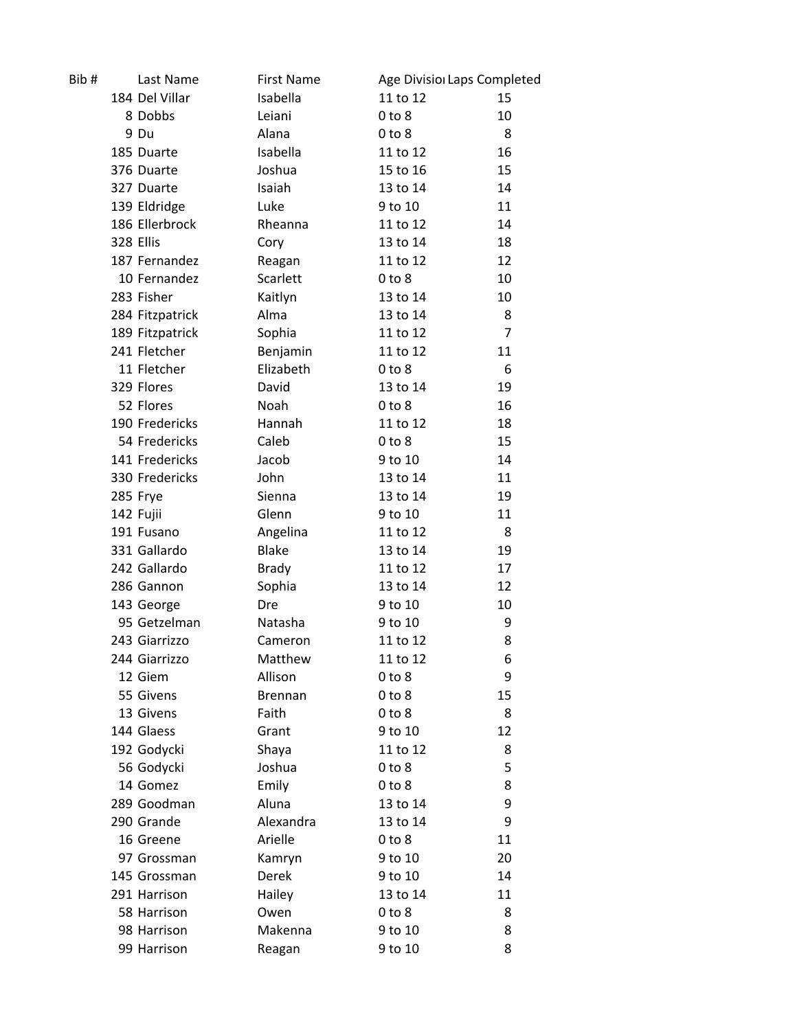| Bib# |           | Last Name       | <b>First Name</b> | Age Divisio Laps Completed |                |
|------|-----------|-----------------|-------------------|----------------------------|----------------|
|      |           | 184 Del Villar  | Isabella          | 11 to 12                   | 15             |
|      |           | 8 Dobbs         | Leiani            | $0$ to $8$                 | 10             |
|      |           | 9 Du            | Alana             | $0$ to $8$                 | 8              |
|      |           | 185 Duarte      | Isabella          | 11 to 12                   | 16             |
|      |           | 376 Duarte      | Joshua            | 15 to 16                   | 15             |
|      |           | 327 Duarte      | Isaiah            | 13 to 14                   | 14             |
|      |           | 139 Eldridge    | Luke              | 9 to 10                    | 11             |
|      |           | 186 Ellerbrock  | Rheanna           | 11 to 12                   | 14             |
|      | 328 Ellis |                 | Cory              | 13 to 14                   | 18             |
|      |           | 187 Fernandez   | Reagan            | 11 to 12                   | 12             |
|      |           | 10 Fernandez    | Scarlett          | $0$ to $8$                 | 10             |
|      |           | 283 Fisher      | Kaitlyn           | 13 to 14                   | 10             |
|      |           | 284 Fitzpatrick | Alma              | 13 to 14                   | 8              |
|      |           | 189 Fitzpatrick | Sophia            | 11 to 12                   | $\overline{7}$ |
|      |           | 241 Fletcher    | Benjamin          | 11 to 12                   | 11             |
|      |           | 11 Fletcher     | Elizabeth         | $0$ to $8$                 | 6              |
|      |           | 329 Flores      | David             | 13 to 14                   | 19             |
|      |           | 52 Flores       | Noah              | $0$ to $8$                 | 16             |
|      |           | 190 Fredericks  | Hannah            | 11 to 12                   | 18             |
|      |           | 54 Fredericks   | Caleb             | $0$ to $8$                 | 15             |
|      |           | 141 Fredericks  | Jacob             | 9 to 10                    | 14             |
|      |           | 330 Fredericks  | John              | 13 to 14                   | 11             |
|      |           | 285 Frye        | Sienna            | 13 to 14                   | 19             |
|      |           | 142 Fujii       | Glenn             | 9 to 10                    | 11             |
|      |           | 191 Fusano      | Angelina          | 11 to 12                   | 8              |
|      |           | 331 Gallardo    | <b>Blake</b>      | 13 to 14                   | 19             |
|      |           | 242 Gallardo    | <b>Brady</b>      | 11 to 12                   | 17             |
|      |           | 286 Gannon      | Sophia            | 13 to 14                   | 12             |
|      |           | 143 George      | <b>Dre</b>        | 9 to 10                    | 10             |
|      |           | 95 Getzelman    | Natasha           | 9 to 10                    | 9              |
|      |           | 243 Giarrizzo   | Cameron           | 11 to 12                   | 8              |
|      |           | 244 Giarrizzo   | Matthew           | 11 to 12                   | 6              |
|      |           | 12 Giem         | Allison           | $0$ to $8$                 | 9              |
|      |           | 55 Givens       | <b>Brennan</b>    | $0$ to $8$                 | 15             |
|      |           | 13 Givens       | Faith             | $0$ to $8$                 | 8              |
|      |           | 144 Glaess      | Grant             | 9 to 10                    | 12             |
|      |           | 192 Godycki     | Shaya             | 11 to 12                   | 8              |
|      |           | 56 Godycki      | Joshua            | $0$ to $8$                 | 5              |
|      |           | 14 Gomez        | Emily             | $0$ to $8$                 | 8              |
|      |           | 289 Goodman     | Aluna             | 13 to 14                   | 9              |
|      |           | 290 Grande      | Alexandra         | 13 to 14                   | 9              |
|      |           | 16 Greene       | Arielle           | $0$ to $8$                 | 11             |
|      |           | 97 Grossman     | Kamryn            | 9 to 10                    | 20             |
|      |           | 145 Grossman    | Derek             | 9 to 10                    | 14             |
|      |           | 291 Harrison    | Hailey            | 13 to 14                   | 11             |
|      |           | 58 Harrison     | Owen              | $0$ to $8$                 | 8              |
|      |           | 98 Harrison     | Makenna           | 9 to 10                    | 8              |
|      |           | 99 Harrison     | Reagan            | 9 to 10                    | 8              |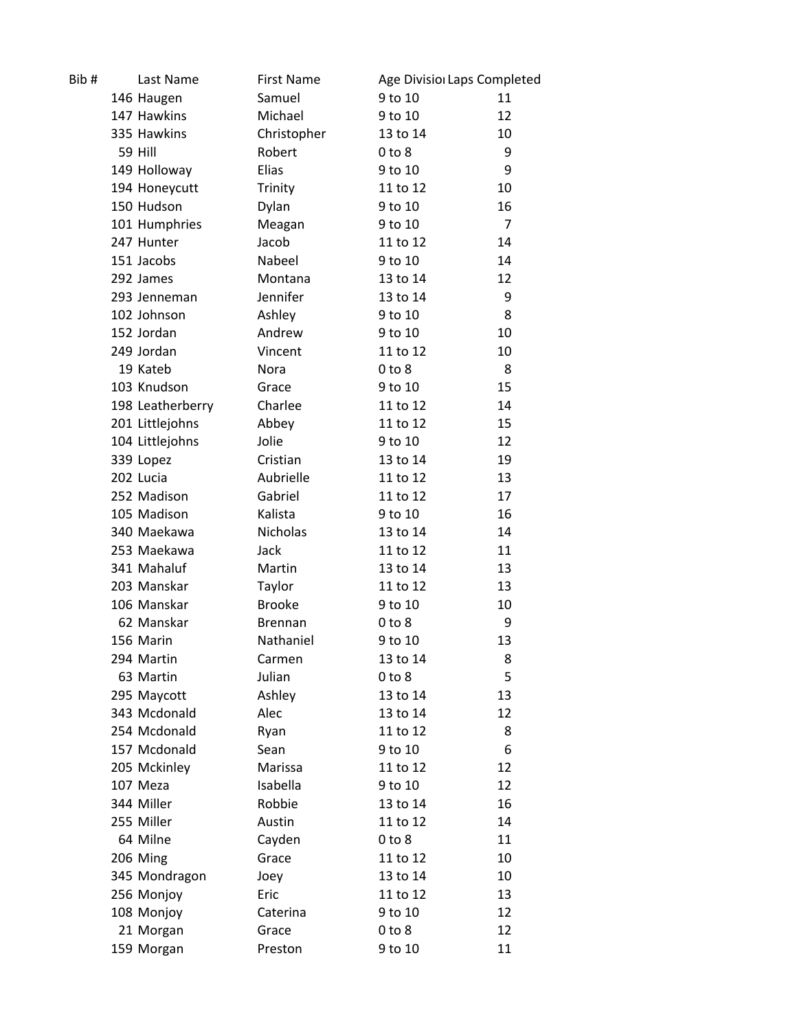| Bib# | Last Name        | <b>First Name</b> | Age Divisio Laps Completed |                |
|------|------------------|-------------------|----------------------------|----------------|
|      | 146 Haugen       | Samuel            | 9 to 10                    | 11             |
|      | 147 Hawkins      | Michael           | 9 to 10                    | 12             |
|      | 335 Hawkins      | Christopher       | 13 to 14                   | 10             |
|      | 59 Hill          | Robert            | $0$ to $8$                 | 9              |
|      | 149 Holloway     | Elias             | 9 to 10                    | 9              |
|      | 194 Honeycutt    | Trinity           | 11 to 12                   | 10             |
|      | 150 Hudson       | Dylan             | 9 to 10                    | 16             |
|      | 101 Humphries    | Meagan            | 9 to 10                    | $\overline{7}$ |
|      | 247 Hunter       | Jacob             | 11 to 12                   | 14             |
|      | 151 Jacobs       | Nabeel            | 9 to 10                    | 14             |
|      | 292 James        | Montana           | 13 to 14                   | 12             |
|      | 293 Jenneman     | Jennifer          | 13 to 14                   | 9              |
|      | 102 Johnson      | Ashley            | 9 to 10                    | 8              |
|      | 152 Jordan       | Andrew            | 9 to 10                    | 10             |
|      | 249 Jordan       | Vincent           | 11 to 12                   | 10             |
|      | 19 Kateb         | Nora              | $0$ to $8$                 | 8              |
|      | 103 Knudson      | Grace             | 9 to 10                    | 15             |
|      | 198 Leatherberry | Charlee           | 11 to 12                   | 14             |
|      | 201 Littlejohns  | Abbey             | 11 to 12                   | 15             |
|      | 104 Littlejohns  | Jolie             | 9 to 10                    | 12             |
|      | 339 Lopez        | Cristian          | 13 to 14                   | 19             |
|      | 202 Lucia        | Aubrielle         | 11 to 12                   | 13             |
|      | 252 Madison      | Gabriel           | 11 to 12                   | 17             |
|      | 105 Madison      | Kalista           | 9 to 10                    | 16             |
|      | 340 Maekawa      | <b>Nicholas</b>   | 13 to 14                   | 14             |
|      | 253 Maekawa      | Jack              | 11 to 12                   | 11             |
|      | 341 Mahaluf      | Martin            | 13 to 14                   | 13             |
|      | 203 Manskar      | Taylor            | 11 to 12                   | 13             |
|      | 106 Manskar      | <b>Brooke</b>     | 9 to 10                    | 10             |
|      | 62 Manskar       | <b>Brennan</b>    | $0$ to $8$                 | 9              |
|      | 156 Marin        | Nathaniel         | 9 to 10                    | 13             |
|      | 294 Martin       | Carmen            | 13 to 14                   | 8              |
|      | 63 Martin        | Julian            | $0$ to $8$                 | 5              |
|      | 295 Maycott      | Ashley            | 13 to 14                   | 13             |
|      | 343 Mcdonald     | Alec              | 13 to 14                   | 12             |
|      | 254 Mcdonald     | Ryan              | 11 to 12                   | 8              |
|      | 157 Mcdonald     | Sean              | 9 to 10                    | 6              |
|      | 205 Mckinley     | Marissa           | 11 to 12                   | 12             |
|      | 107 Meza         | Isabella          | 9 to 10                    | 12             |
|      | 344 Miller       | Robbie            | 13 to 14                   | 16             |
|      | 255 Miller       | Austin            | 11 to 12                   | 14             |
|      | 64 Milne         | Cayden            | $0$ to $8$                 | 11             |
|      | 206 Ming         | Grace             | 11 to 12                   | 10             |
|      | 345 Mondragon    | Joey              | 13 to 14                   | 10             |
|      | 256 Monjoy       | Eric              | 11 to 12                   | 13             |
|      | 108 Monjoy       | Caterina          | 9 to 10                    | 12             |
|      | 21 Morgan        | Grace             | $0$ to $8$                 | 12             |
|      | 159 Morgan       | Preston           | 9 to 10                    | 11             |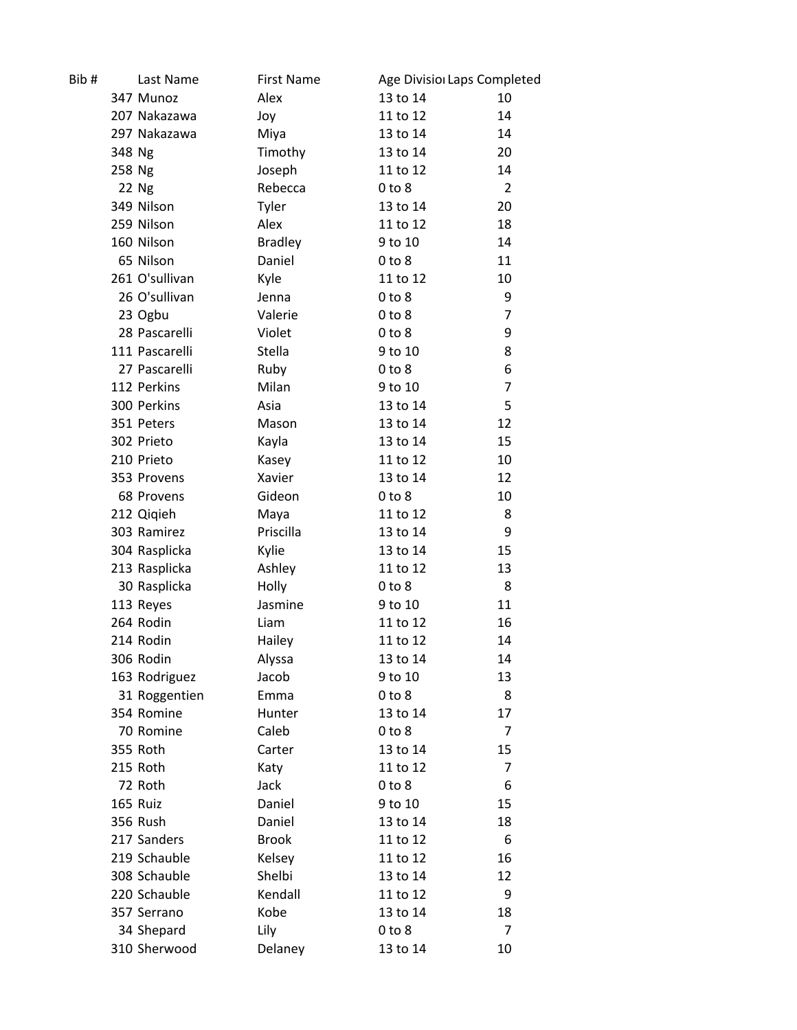| Bib#   | Last Name      | <b>First Name</b> | Age Divisior Laps Completed |                |
|--------|----------------|-------------------|-----------------------------|----------------|
|        | 347 Munoz      | Alex              | 13 to 14                    | 10             |
|        | 207 Nakazawa   | Joy               | 11 to 12                    | 14             |
|        | 297 Nakazawa   | Miya              | 13 to 14                    | 14             |
| 348 Ng |                | Timothy           | 13 to 14                    | 20             |
| 258 Ng |                | Joseph            | 11 to 12                    | 14             |
|        | 22 Ng          | Rebecca           | $0$ to $8$                  | $\overline{2}$ |
|        | 349 Nilson     | Tyler             | 13 to 14                    | 20             |
|        | 259 Nilson     | Alex              | 11 to 12                    | 18             |
|        | 160 Nilson     | <b>Bradley</b>    | 9 to 10                     | 14             |
|        | 65 Nilson      | Daniel            | $0$ to $8$                  | 11             |
|        | 261 O'sullivan | Kyle              | 11 to 12                    | 10             |
|        | 26 O'sullivan  | Jenna             | $0$ to $8$                  | 9              |
|        | 23 Ogbu        | Valerie           | $0$ to $8$                  | 7              |
|        | 28 Pascarelli  | Violet            | $0$ to $8$                  | 9              |
|        | 111 Pascarelli | Stella            | 9 to 10                     | 8              |
|        | 27 Pascarelli  | Ruby              | $0$ to $8$                  | 6              |
|        | 112 Perkins    | Milan             | 9 to 10                     | 7              |
|        | 300 Perkins    | Asia              | 13 to 14                    | 5              |
|        | 351 Peters     | Mason             | 13 to 14                    | 12             |
|        | 302 Prieto     | Kayla             | 13 to 14                    | 15             |
|        | 210 Prieto     | Kasey             | 11 to 12                    | 10             |
|        | 353 Provens    | Xavier            | 13 to 14                    | 12             |
|        | 68 Provens     | Gideon            | $0$ to $8$                  | 10             |
|        | 212 Qiqieh     | Maya              | 11 to 12                    | 8              |
|        | 303 Ramirez    | Priscilla         | 13 to 14                    | 9              |
|        | 304 Rasplicka  | Kylie             | 13 to 14                    | 15             |
|        | 213 Rasplicka  | Ashley            | 11 to 12                    | 13             |
|        | 30 Rasplicka   | Holly             | $0$ to $8$                  | 8              |
|        | 113 Reyes      | Jasmine           | 9 to 10                     | 11             |
|        | 264 Rodin      | Liam              | 11 to 12                    | 16             |
|        | 214 Rodin      | Hailey            | 11 to 12                    | 14             |
|        | 306 Rodin      | Alyssa            | 13 to 14                    | 14             |
|        | 163 Rodriguez  | Jacob             | 9 to 10                     | 13             |
|        | 31 Roggentien  | Emma              | $0$ to $8$                  | 8              |
|        | 354 Romine     | Hunter            | 13 to 14                    | 17             |
|        | 70 Romine      | Caleb             | $0$ to $8$                  | $\overline{7}$ |
|        | 355 Roth       | Carter            | 13 to 14                    | 15             |
|        | 215 Roth       | Katy              | 11 to 12                    | 7              |
|        | 72 Roth        | Jack              | $0$ to $8$                  | 6              |
|        | 165 Ruiz       | Daniel            | 9 to 10                     | 15             |
|        | 356 Rush       | Daniel            | 13 to 14                    | 18             |
|        | 217 Sanders    | <b>Brook</b>      | 11 to 12                    | 6              |
|        | 219 Schauble   | Kelsey            | 11 to 12                    | 16             |
|        | 308 Schauble   | Shelbi            | 13 to 14                    | 12             |
|        | 220 Schauble   | Kendall           | 11 to 12                    | 9              |
|        | 357 Serrano    | Kobe              | 13 to 14                    | 18             |
|        | 34 Shepard     | Lily              | $0$ to $8$                  | 7              |
|        | 310 Sherwood   | Delaney           | 13 to 14                    | 10             |